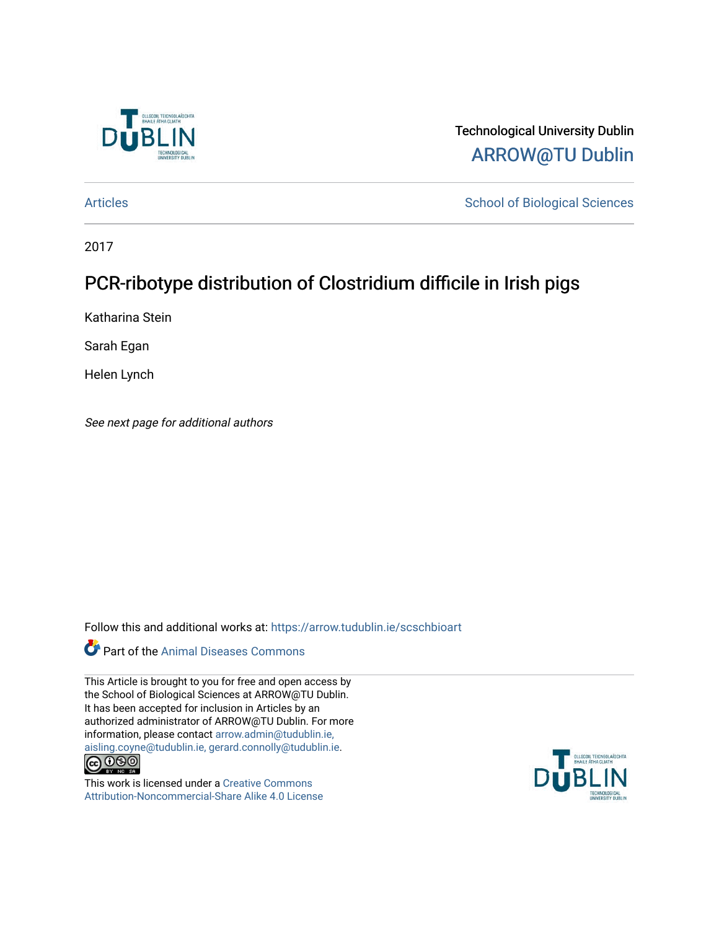

Technological University Dublin [ARROW@TU Dublin](https://arrow.tudublin.ie/) 

[Articles](https://arrow.tudublin.ie/scschbioart) **School of Biological Sciences** School of Biological Sciences

2017

# PCR-ribotype distribution of Clostridium difficile in Irish pigs

Katharina Stein

Sarah Egan

Helen Lynch

See next page for additional authors

Follow this and additional works at: [https://arrow.tudublin.ie/scschbioart](https://arrow.tudublin.ie/scschbioart?utm_source=arrow.tudublin.ie%2Fscschbioart%2F318&utm_medium=PDF&utm_campaign=PDFCoverPages)

### **Part of the Animal Diseases Commons**

This Article is brought to you for free and open access by the School of Biological Sciences at ARROW@TU Dublin. It has been accepted for inclusion in Articles by an authorized administrator of ARROW@TU Dublin. For more information, please contact [arrow.admin@tudublin.ie,](mailto:arrow.admin@tudublin.ie,%20aisling.coyne@tudublin.ie,%20gerard.connolly@tudublin.ie)  [aisling.coyne@tudublin.ie, gerard.connolly@tudublin.ie](mailto:arrow.admin@tudublin.ie,%20aisling.coyne@tudublin.ie,%20gerard.connolly@tudublin.ie).



This work is licensed under a [Creative Commons](http://creativecommons.org/licenses/by-nc-sa/4.0/) [Attribution-Noncommercial-Share Alike 4.0 License](http://creativecommons.org/licenses/by-nc-sa/4.0/)

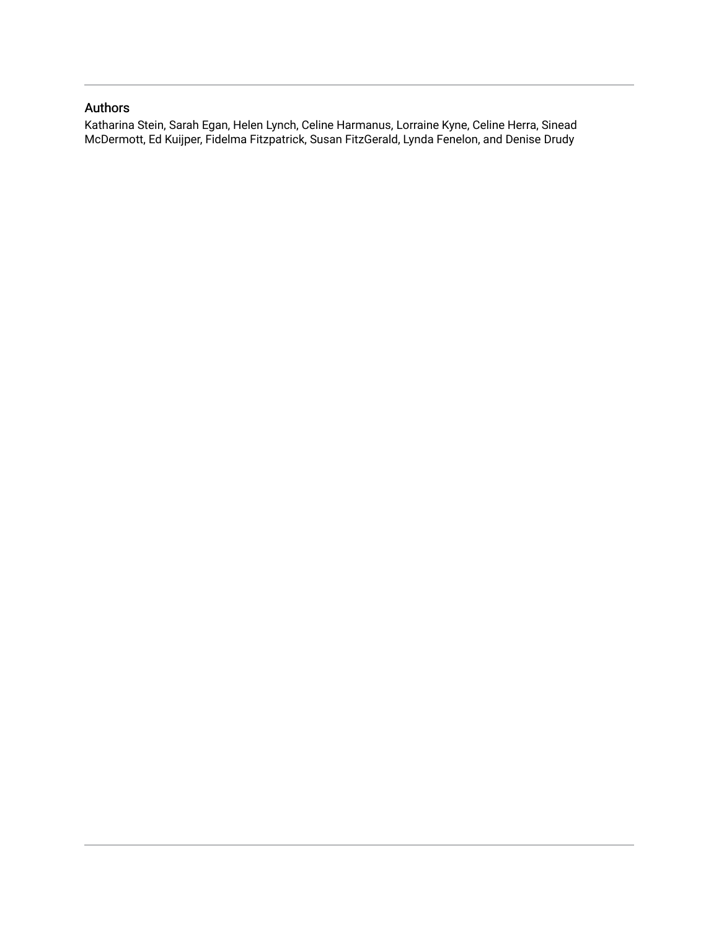### Authors

Katharina Stein, Sarah Egan, Helen Lynch, Celine Harmanus, Lorraine Kyne, Celine Herra, Sinead McDermott, Ed Kuijper, Fidelma Fitzpatrick, Susan FitzGerald, Lynda Fenelon, and Denise Drudy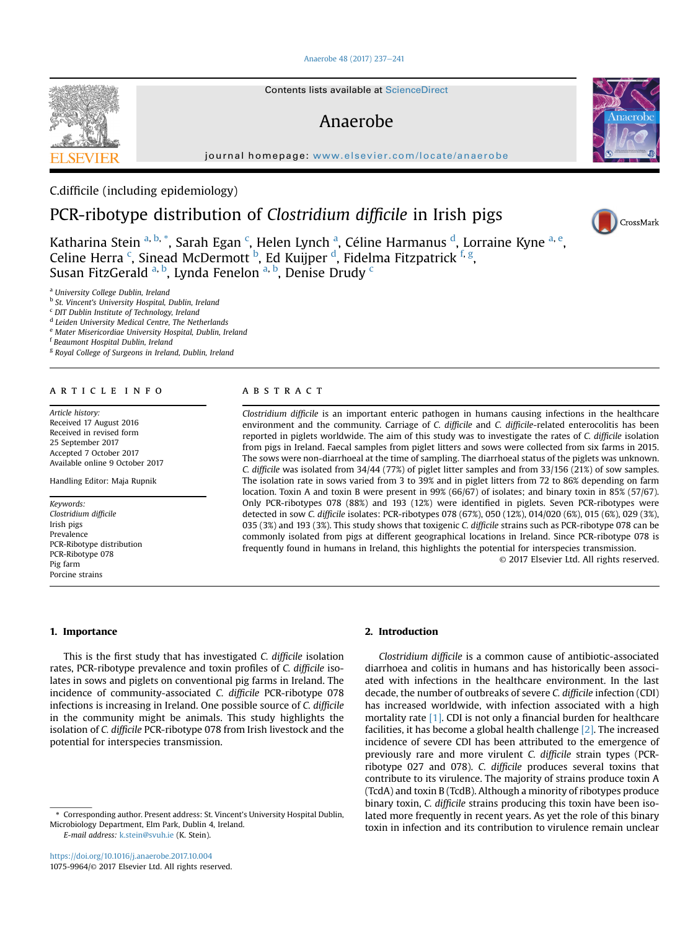#### [Anaerobe 48 \(2017\) 237](https://doi.org/10.1016/j.anaerobe.2017.10.004)-[241](https://doi.org/10.1016/j.anaerobe.2017.10.004)

### Anaerobe

journal homepage: [www.elsevier.com/locate/anaerobe](http://www.elsevier.com/locate/anaerobe)

### C.difficile (including epidemiology)

## PCR-ribotype distribution of Clostridium difficile in Irish pigs

Katharina Stein <sup>a, b,</sup> \*, Sarah Egan <sup>c</sup>, Helen Lynch <sup>a</sup>, Céline Harmanus <sup>d</sup>, Lorraine Kyne <sup>a, e</sup>, Celine Herra <sup>c</sup>, Sinead McDermott <sup>b</sup>, Ed Kuijper <sup>d</sup>, Fidelma Fitzpatrick <sup>f, g</sup>, Susan FitzGerald <sup>a, b</sup>, Lynda Fenelon <sup>a, b</sup>, Denise Drudy <sup>c</sup>

<sup>a</sup> University College Dublin, Ireland

**b** St. Vincent's University Hospital, Dublin, Ireland

<sup>c</sup> DIT Dublin Institute of Technology, Ireland

<sup>d</sup> Leiden University Medical Centre, The Netherlands

<sup>e</sup> Mater Misericordiae University Hospital, Dublin, Ireland

<sup>f</sup> Beaumont Hospital Dublin, Ireland

<sup>g</sup> Royal College of Surgeons in Ireland, Dublin, Ireland

#### article info

Article history: Received 17 August 2016 Received in revised form 25 September 2017 Accepted 7 October 2017 Available online 9 October 2017

Handling Editor: Maja Rupnik

Keywords: Clostridium difficile Irish pigs Prevalence PCR-Ribotype distribution PCR-Ribotype 078 Pig farm Porcine strains

### **ABSTRACT**

Clostridium difficile is an important enteric pathogen in humans causing infections in the healthcare environment and the community. Carriage of C. difficile and C. difficile-related enterocolitis has been reported in piglets worldwide. The aim of this study was to investigate the rates of C. difficile isolation from pigs in Ireland. Faecal samples from piglet litters and sows were collected from six farms in 2015. The sows were non-diarrhoeal at the time of sampling. The diarrhoeal status of the piglets was unknown. C. difficile was isolated from 34/44 (77%) of piglet litter samples and from 33/156 (21%) of sow samples. The isolation rate in sows varied from 3 to 39% and in piglet litters from 72 to 86% depending on farm location. Toxin A and toxin B were present in 99% (66/67) of isolates; and binary toxin in 85% (57/67). Only PCR-ribotypes 078 (88%) and 193 (12%) were identified in piglets. Seven PCR-ribotypes were detected in sow C. difficile isolates: PCR-ribotypes 078 (67%), 050 (12%), 014/020 (6%), 015 (6%), 029 (3%), 035 (3%) and 193 (3%). This study shows that toxigenic C. difficile strains such as PCR-ribotype 078 can be commonly isolated from pigs at different geographical locations in Ireland. Since PCR-ribotype 078 is frequently found in humans in Ireland, this highlights the potential for interspecies transmission. © 2017 Elsevier Ltd. All rights reserved.

#### 1. Importance

This is the first study that has investigated C. difficile isolation rates, PCR-ribotype prevalence and toxin profiles of C. difficile isolates in sows and piglets on conventional pig farms in Ireland. The incidence of community-associated C. difficile PCR-ribotype 078 infections is increasing in Ireland. One possible source of C. difficile in the community might be animals. This study highlights the isolation of C. difficile PCR-ribotype 078 from Irish livestock and the potential for interspecies transmission.

<https://doi.org/10.1016/j.anaerobe.2017.10.004> 1075-9964/© 2017 Elsevier Ltd. All rights reserved.

#### 2. Introduction

Clostridium difficile is a common cause of antibiotic-associated diarrhoea and colitis in humans and has historically been associated with infections in the healthcare environment. In the last decade, the number of outbreaks of severe C. difficile infection (CDI) has increased worldwide, with infection associated with a high mortality rate [\[1\].](#page-6-0) CDI is not only a financial burden for healthcare facilities, it has become a global health challenge  $[2]$ . The increased incidence of severe CDI has been attributed to the emergence of previously rare and more virulent C. difficile strain types (PCRribotype 027 and 078). C. difficile produces several toxins that contribute to its virulence. The majority of strains produce toxin A (TcdA) and toxin B (TcdB). Although a minority of ribotypes produce binary toxin, C. difficile strains producing this toxin have been isolated more frequently in recent years. As yet the role of this binary toxin in infection and its contribution to virulence remain unclear





<sup>\*</sup> Corresponding author. Present address: St. Vincent's University Hospital Dublin, Microbiology Department, Elm Park, Dublin 4, Ireland. E-mail address: [k.stein@svuh.ie](mailto:k.stein@svuh.ie) (K. Stein).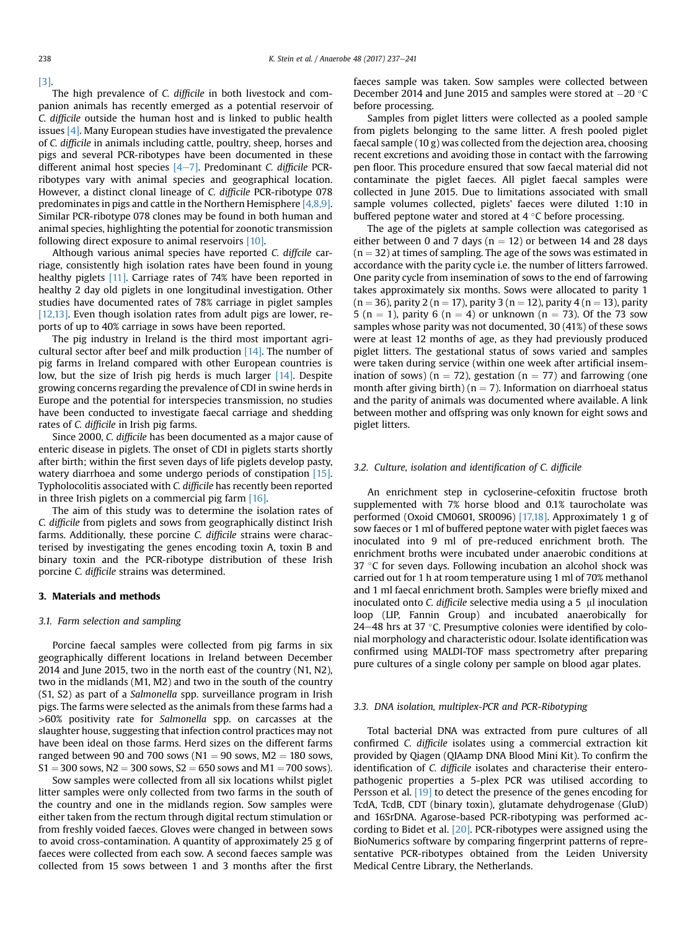#### [\[3\]](#page-6-0).

The high prevalence of C. difficile in both livestock and companion animals has recently emerged as a potential reservoir of C. difficile outside the human host and is linked to public health issues [\[4\].](#page-6-0) Many European studies have investigated the prevalence of C. difficile in animals including cattle, poultry, sheep, horses and pigs and several PCR-ribotypes have been documented in these different animal host species  $[4-7]$  $[4-7]$  $[4-7]$ . Predominant C. difficile PCRribotypes vary with animal species and geographical location. However, a distinct clonal lineage of C. difficile PCR-ribotype 078 predominates in pigs and cattle in the Northern Hemisphere [\[4,8,9\].](#page-6-0) Similar PCR-ribotype 078 clones may be found in both human and animal species, highlighting the potential for zoonotic transmission following direct exposure to animal reservoirs [\[10\]](#page-6-0).

Although various animal species have reported C. diffcile carriage, consistently high isolation rates have been found in young healthy piglets [\[11\]](#page-6-0). Carriage rates of 74% have been reported in healthy 2 day old piglets in one longitudinal investigation. Other studies have documented rates of 78% carriage in piglet samples [\[12,13\]](#page-6-0). Even though isolation rates from adult pigs are lower, reports of up to 40% carriage in sows have been reported.

The pig industry in Ireland is the third most important agricultural sector after beef and milk production [\[14\]](#page-6-0). The number of pig farms in Ireland compared with other European countries is low, but the size of Irish pig herds is much larger [\[14\].](#page-6-0) Despite growing concerns regarding the prevalence of CDI in swine herds in Europe and the potential for interspecies transmission, no studies have been conducted to investigate faecal carriage and shedding rates of C. difficile in Irish pig farms.

Since 2000, C. difficile has been documented as a major cause of enteric disease in piglets. The onset of CDI in piglets starts shortly after birth; within the first seven days of life piglets develop pasty, watery diarrhoea and some undergo periods of constipation [\[15\].](#page-6-0) Typholocolitis associated with C. difficile has recently been reported in three Irish piglets on a commercial pig farm [\[16\]](#page-6-0).

The aim of this study was to determine the isolation rates of C. difficile from piglets and sows from geographically distinct Irish farms. Additionally, these porcine C. difficile strains were characterised by investigating the genes encoding toxin A, toxin B and binary toxin and the PCR-ribotype distribution of these Irish porcine C. difficile strains was determined.

#### 3. Materials and methods

#### 3.1. Farm selection and sampling

Porcine faecal samples were collected from pig farms in six geographically different locations in Ireland between December 2014 and June 2015, two in the north east of the country (N1, N2), two in the midlands (M1, M2) and two in the south of the country (S1, S2) as part of a Salmonella spp. surveillance program in Irish pigs. The farms were selected as the animals from these farms had a >60% positivity rate for Salmonella spp. on carcasses at the slaughter house, suggesting that infection control practices may not have been ideal on those farms. Herd sizes on the different farms ranged between 90 and 700 sows ( $N1 = 90$  sows,  $M2 = 180$  sows,  $S1 = 300$  sows, N2 = 300 sows, S2 = 650 sows and M1 = 700 sows).

Sow samples were collected from all six locations whilst piglet litter samples were only collected from two farms in the south of the country and one in the midlands region. Sow samples were either taken from the rectum through digital rectum stimulation or from freshly voided faeces. Gloves were changed in between sows to avoid cross-contamination. A quantity of approximately 25 g of faeces were collected from each sow. A second faeces sample was collected from 15 sows between 1 and 3 months after the first faeces sample was taken. Sow samples were collected between December 2014 and June 2015 and samples were stored at  $-20$  °C before processing.

Samples from piglet litters were collected as a pooled sample from piglets belonging to the same litter. A fresh pooled piglet faecal sample (10 g) was collected from the dejection area, choosing recent excretions and avoiding those in contact with the farrowing pen floor. This procedure ensured that sow faecal material did not contaminate the piglet faeces. All piglet faecal samples were collected in June 2015. Due to limitations associated with small sample volumes collected, piglets' faeces were diluted 1:10 in buffered peptone water and stored at  $4^{\circ}$ C before processing.

The age of the piglets at sample collection was categorised as either between 0 and 7 days ( $n = 12$ ) or between 14 and 28 days  $(n = 32)$  at times of sampling. The age of the sows was estimated in accordance with the parity cycle i.e. the number of litters farrowed. One parity cycle from insemination of sows to the end of farrowing takes approximately six months. Sows were allocated to parity 1  $(n = 36)$ , parity 2 (n = 17), parity 3 (n = 12), parity 4 (n = 13), parity 5 (n = 1), parity 6 (n = 4) or unknown (n = 73). Of the 73 sow samples whose parity was not documented, 30 (41%) of these sows were at least 12 months of age, as they had previously produced piglet litters. The gestational status of sows varied and samples were taken during service (within one week after artificial insemination of sows) ( $n = 72$ ), gestation ( $n = 77$ ) and farrowing (one month after giving birth) ( $n = 7$ ). Information on diarrhoeal status and the parity of animals was documented where available. A link between mother and offspring was only known for eight sows and piglet litters.

#### 3.2. Culture, isolation and identification of C. difficile

An enrichment step in cycloserine-cefoxitin fructose broth supplemented with 7% horse blood and 0.1% taurocholate was performed (Oxoid CM0601, SR0096) [\[17,18\].](#page-6-0) Approximately 1 g of sow faeces or 1 ml of buffered peptone water with piglet faeces was inoculated into 9 ml of pre-reduced enrichment broth. The enrichment broths were incubated under anaerobic conditions at  $37$  °C for seven days. Following incubation an alcohol shock was carried out for 1 h at room temperature using 1 ml of 70% methanol and 1 ml faecal enrichment broth. Samples were briefly mixed and inoculated onto C. difficile selective media using a  $5$  µl inoculation loop (LIP, Fannin Group) and incubated anaerobically for 24-48 hrs at 37  $\degree$ C. Presumptive colonies were identified by colonial morphology and characteristic odour. Isolate identification was confirmed using MALDI-TOF mass spectrometry after preparing pure cultures of a single colony per sample on blood agar plates.

#### 3.3. DNA isolation, multiplex-PCR and PCR-Ribotyping

Total bacterial DNA was extracted from pure cultures of all confirmed C. difficile isolates using a commercial extraction kit provided by Qiagen (QIAamp DNA Blood Mini Kit). To confirm the identification of C. difficile isolates and characterise their enteropathogenic properties a 5-plex PCR was utilised according to Persson et al. [\[19\]](#page-6-0) to detect the presence of the genes encoding for TcdA, TcdB, CDT (binary toxin), glutamate dehydrogenase (GluD) and 16SrDNA. Agarose-based PCR-ribotyping was performed according to Bidet et al. [\[20\]](#page-6-0). PCR-ribotypes were assigned using the BioNumerics software by comparing fingerprint patterns of representative PCR-ribotypes obtained from the Leiden University Medical Centre Library, the Netherlands.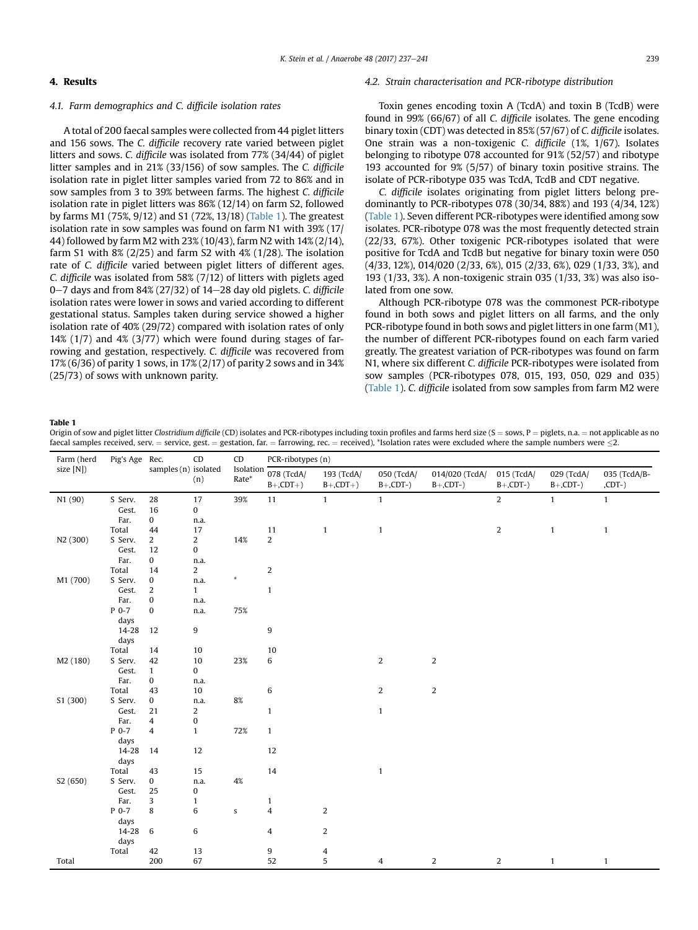### <span id="page-4-0"></span>4. Results

#### 4.1. Farm demographics and C. difficile isolation rates

A total of 200 faecal samples were collected from 44 piglet litters and 156 sows. The C. difficile recovery rate varied between piglet litters and sows. C. difficile was isolated from 77% (34/44) of piglet litter samples and in 21% (33/156) of sow samples. The C. difficile isolation rate in piglet litter samples varied from 72 to 86% and in sow samples from 3 to 39% between farms. The highest C. difficile isolation rate in piglet litters was 86% (12/14) on farm S2, followed by farms M1 (75%, 9/12) and S1 (72%, 13/18) (Table 1). The greatest isolation rate in sow samples was found on farm N1 with 39% (17/ 44) followed by farm M2 with 23% (10/43), farm N2 with 14% (2/14), farm S1 with 8% (2/25) and farm S2 with 4% (1/28). The isolation rate of C. difficile varied between piglet litters of different ages. C. difficile was isolated from 58% (7/12) of litters with piglets aged 0 $-7$  days and from 84% (27/32) of 14 $-28$  day old piglets. C. difficile isolation rates were lower in sows and varied according to different gestational status. Samples taken during service showed a higher isolation rate of 40% (29/72) compared with isolation rates of only 14% (1/7) and 4% (3/77) which were found during stages of farrowing and gestation, respectively. C. difficile was recovered from 17% (6/36) of parity 1 sows, in 17% (2/17) of parity 2 sows and in 34% (25/73) of sows with unknown parity.

#### 4.2. Strain characterisation and PCR-ribotype distribution

Toxin genes encoding toxin A (TcdA) and toxin B (TcdB) were found in 99% (66/67) of all C. difficile isolates. The gene encoding binary toxin (CDT) was detected in 85% (57/67) of C. difficile isolates. One strain was a non-toxigenic C. difficile (1%, 1/67). Isolates belonging to ribotype 078 accounted for 91% (52/57) and ribotype 193 accounted for 9% (5/57) of binary toxin positive strains. The isolate of PCR-ribotype 035 was TcdA, TcdB and CDT negative.

C. difficile isolates originating from piglet litters belong predominantly to PCR-ribotypes 078 (30/34, 88%) and 193 (4/34, 12%) (Table 1). Seven different PCR-ribotypes were identified among sow isolates. PCR-ribotype 078 was the most frequently detected strain (22/33, 67%). Other toxigenic PCR-ribotypes isolated that were positive for TcdA and TcdB but negative for binary toxin were 050 (4/33, 12%), 014/020 (2/33, 6%), 015 (2/33, 6%), 029 (1/33, 3%), and 193 (1/33, 3%). A non-toxigenic strain 035 (1/33, 3%) was also isolated from one sow.

Although PCR-ribotype 078 was the commonest PCR-ribotype found in both sows and piglet litters on all farms, and the only PCR-ribotype found in both sows and piglet litters in one farm (M1), the number of different PCR-ribotypes found on each farm varied greatly. The greatest variation of PCR-ribotypes was found on farm N1, where six different C. difficile PCR-ribotypes were isolated from sow samples (PCR-ribotypes 078, 015, 193, 050, 029 and 035) (Table 1). C. difficile isolated from sow samples from farm M2 were

#### Table 1

Origin of sow and piglet litter Clostridium difficile (CD) isolates and PCR-ribotypes including toxin profiles and farms herd size (S = sows, P = piglets, n.a. = not applicable as no faecal samples received, serv. = service, gest. = gestation, far. = farrowing, rec. = received), \*Isolation rates were excluded where the sample numbers were  $\leq 2$ .

| Farm (herd | Pig's Age Rec. | CD<br>samples (n) isolated<br>(n) |                         | CD<br>Isolation<br>Rate* | PCR-ribotypes (n)         |                           |                           |                               |                           |                           |                          |
|------------|----------------|-----------------------------------|-------------------------|--------------------------|---------------------------|---------------------------|---------------------------|-------------------------------|---------------------------|---------------------------|--------------------------|
| size [N])  |                |                                   |                         |                          | 078 (TcdA/<br>$B+$ ,CDT+) | 193 (TcdA/<br>$B+$ ,CDT+) | 050 (TcdA/<br>$B+$ ,CDT-) | 014/020 (TcdA/<br>$B+$ ,CDT-) | 015 (TcdA/<br>$B+$ ,CDT-) | 029 (TcdA/<br>$B+$ ,CDT-) | 035 (TcdA/B-<br>$(CDT-)$ |
| N1 (90)    | S Serv.        | 28                                | 17                      | 39%                      | 11                        | $\mathbf{1}$              | $\mathbf{1}$              |                               | $\overline{2}$            | $\mathbf{1}$              | $\mathbf{1}$             |
|            | Gest.          | 16                                | $\bf{0}$                |                          |                           |                           |                           |                               |                           |                           |                          |
|            | Far.           | $\bf{0}$                          | n.a.                    |                          |                           |                           |                           |                               |                           |                           |                          |
|            | Total          | 44                                | 17                      |                          | 11                        | $\mathbf{1}$              | $\mathbf{1}$              |                               | $\overline{2}$            | $\mathbf{1}$              | $\mathbf{1}$             |
| N2 (300)   | S Serv.        | $\overline{2}$                    | $\overline{\mathbf{c}}$ | 14%                      | $\overline{2}$            |                           |                           |                               |                           |                           |                          |
|            | Gest.          | 12                                | 0                       |                          |                           |                           |                           |                               |                           |                           |                          |
|            | Far.           | $\bf{0}$                          | n.a.                    |                          |                           |                           |                           |                               |                           |                           |                          |
|            | Total          | 14                                | $\overline{c}$          |                          | 2                         |                           |                           |                               |                           |                           |                          |
| M1 (700)   | S Serv.        | $\pmb{0}$                         | n.a.                    | $\ast$                   |                           |                           |                           |                               |                           |                           |                          |
|            | Gest.          | $\overline{\mathbf{c}}$           | $\mathbf{1}$            |                          | $\mathbf{1}$              |                           |                           |                               |                           |                           |                          |
|            | Far.           | $\bf{0}$                          | n.a.                    |                          |                           |                           |                           |                               |                           |                           |                          |
|            | $P$ 0-7        | $\bf{0}$                          | n.a.                    | 75%                      |                           |                           |                           |                               |                           |                           |                          |
|            | days           |                                   |                         |                          |                           |                           |                           |                               |                           |                           |                          |
|            | 14-28          | 12                                | 9                       |                          | 9                         |                           |                           |                               |                           |                           |                          |
|            | days           |                                   |                         |                          |                           |                           |                           |                               |                           |                           |                          |
|            | Total          | 14                                | 10                      |                          | 10                        |                           |                           |                               |                           |                           |                          |
| M2 (180)   | S Serv.        | 42                                | $10\,$                  | 23%                      | 6                         |                           | 2                         | $\sqrt{2}$                    |                           |                           |                          |
|            | Gest.          | $\mathbf{1}$                      | $\bf{0}$                |                          |                           |                           |                           |                               |                           |                           |                          |
|            | Far.           | $\pmb{0}$                         | n.a.                    |                          |                           |                           |                           |                               |                           |                           |                          |
|            | Total          | 43                                | 10                      |                          | 6                         |                           | 2                         | $\overline{2}$                |                           |                           |                          |
| S1 (300)   | S Serv.        | 0                                 | n.a.                    | $8\%$                    |                           |                           |                           |                               |                           |                           |                          |
|            | Gest.          | 21                                | 2                       |                          | $\mathbf{1}$              |                           | $\mathbf{1}$              |                               |                           |                           |                          |
|            | Far.           | 4                                 | $\pmb{0}$               |                          |                           |                           |                           |                               |                           |                           |                          |
|            | $P$ 0-7        | 4                                 | $\mathbf{1}$            | 72%                      | $\mathbf{1}$              |                           |                           |                               |                           |                           |                          |
|            | days           |                                   |                         |                          |                           |                           |                           |                               |                           |                           |                          |
|            | 14-28          | 14                                | 12                      |                          | 12                        |                           |                           |                               |                           |                           |                          |
|            | days           |                                   |                         |                          |                           |                           |                           |                               |                           |                           |                          |
|            | Total          | 43                                | $15\,$                  |                          | 14                        |                           | $\mathbf{1}$              |                               |                           |                           |                          |
| S2 (650)   | S Serv.        | $\boldsymbol{0}$                  | n.a.                    | 4%                       |                           |                           |                           |                               |                           |                           |                          |
|            | Gest.          | 25                                | 0                       |                          |                           |                           |                           |                               |                           |                           |                          |
|            | Far.           | 3                                 | $\mathbf{1}$            |                          | $\mathbf{1}$              |                           |                           |                               |                           |                           |                          |
|            | P 0-7          | 8                                 | 6                       | $\mathsf S$              | $\overline{4}$            | 2                         |                           |                               |                           |                           |                          |
|            | days           |                                   |                         |                          |                           |                           |                           |                               |                           |                           |                          |
|            | 14-28          | $\,6\,$                           | 6                       |                          | 4                         | $\overline{2}$            |                           |                               |                           |                           |                          |
|            | days           |                                   |                         |                          |                           |                           |                           |                               |                           |                           |                          |
|            | Total          | 42                                | 13                      |                          | 9                         | 4                         |                           |                               |                           |                           |                          |
| Total      |                | 200                               | 67                      |                          | 52                        | 5                         | 4                         | $\overline{2}$                | $\overline{2}$            | $\mathbf{1}$              | $\mathbf{1}$             |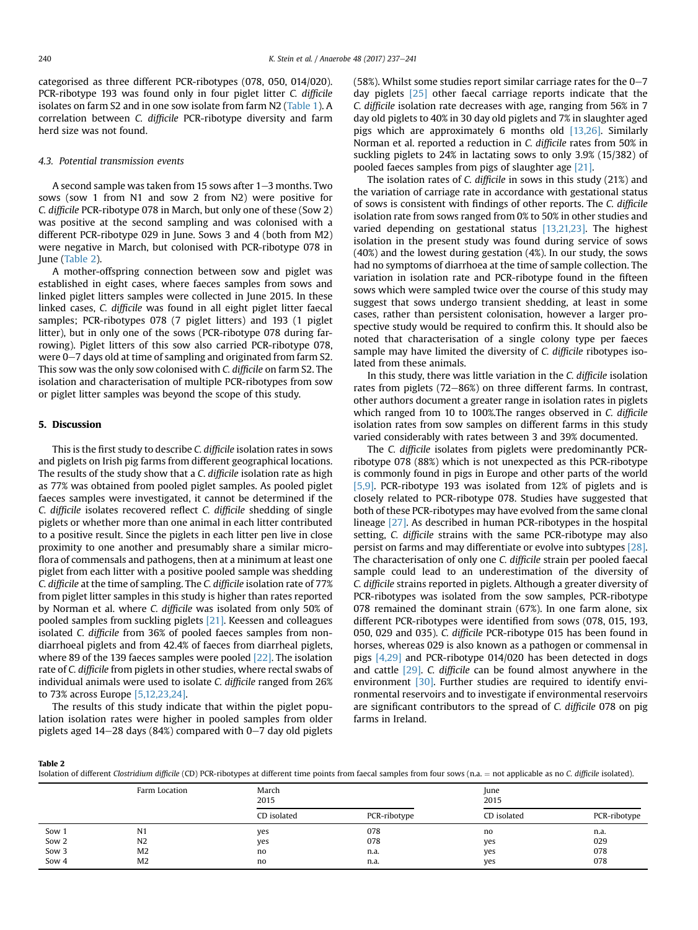categorised as three different PCR-ribotypes (078, 050, 014/020). PCR-ribotype 193 was found only in four piglet litter C. difficile isolates on farm S2 and in one sow isolate from farm N2 [\(Table 1\)](#page-4-0). A correlation between C. difficile PCR-ribotype diversity and farm herd size was not found.

#### 4.3. Potential transmission events

A second sample was taken from 15 sows after  $1-3$  months. Two sows (sow 1 from N1 and sow 2 from N2) were positive for C. difficile PCR-ribotype 078 in March, but only one of these (Sow 2) was positive at the second sampling and was colonised with a different PCR-ribotype 029 in June. Sows 3 and 4 (both from M2) were negative in March, but colonised with PCR-ribotype 078 in June (Table 2).

A mother-offspring connection between sow and piglet was established in eight cases, where faeces samples from sows and linked piglet litters samples were collected in June 2015. In these linked cases, C. difficile was found in all eight piglet litter faecal samples; PCR-ribotypes 078 (7 piglet litters) and 193 (1 piglet litter), but in only one of the sows (PCR-ribotype 078 during farrowing). Piglet litters of this sow also carried PCR-ribotype 078, were  $0-7$  days old at time of sampling and originated from farm S2. This sow was the only sow colonised with C. difficile on farm S2. The isolation and characterisation of multiple PCR-ribotypes from sow or piglet litter samples was beyond the scope of this study.

#### 5. Discussion

This is the first study to describe C. difficile isolation rates in sows and piglets on Irish pig farms from different geographical locations. The results of the study show that a C. difficile isolation rate as high as 77% was obtained from pooled piglet samples. As pooled piglet faeces samples were investigated, it cannot be determined if the C. difficile isolates recovered reflect C. difficile shedding of single piglets or whether more than one animal in each litter contributed to a positive result. Since the piglets in each litter pen live in close proximity to one another and presumably share a similar microflora of commensals and pathogens, then at a minimum at least one piglet from each litter with a positive pooled sample was shedding C. difficile at the time of sampling. The C. difficile isolation rate of 77% from piglet litter samples in this study is higher than rates reported by Norman et al. where C. difficile was isolated from only 50% of pooled samples from suckling piglets [\[21\]](#page-6-0). Keessen and colleagues isolated C. difficile from 36% of pooled faeces samples from nondiarrhoeal piglets and from 42.4% of faeces from diarrheal piglets, where 89 of the 139 faeces samples were pooled [\[22\].](#page-6-0) The isolation rate of C. difficile from piglets in other studies, where rectal swabs of individual animals were used to isolate C. difficile ranged from 26% to 73% across Europe [\[5,12,23,24\]](#page-6-0).

The results of this study indicate that within the piglet population isolation rates were higher in pooled samples from older piglets aged  $14-28$  days (84%) compared with 0-7 day old piglets (58%). Whilst some studies report similar carriage rates for the  $0-7$ day piglets [\[25\]](#page-6-0) other faecal carriage reports indicate that the C. difficile isolation rate decreases with age, ranging from 56% in 7 day old piglets to 40% in 30 day old piglets and 7% in slaughter aged pigs which are approximately 6 months old [\[13,26\].](#page-6-0) Similarly Norman et al. reported a reduction in C. difficile rates from 50% in suckling piglets to 24% in lactating sows to only 3.9% (15/382) of pooled faeces samples from pigs of slaughter age [\[21\]](#page-6-0).

The isolation rates of C. difficile in sows in this study (21%) and the variation of carriage rate in accordance with gestational status of sows is consistent with findings of other reports. The C. difficile isolation rate from sows ranged from 0% to 50% in other studies and varied depending on gestational status [\[13,21,23\].](#page-6-0) The highest isolation in the present study was found during service of sows (40%) and the lowest during gestation (4%). In our study, the sows had no symptoms of diarrhoea at the time of sample collection. The variation in isolation rate and PCR-ribotype found in the fifteen sows which were sampled twice over the course of this study may suggest that sows undergo transient shedding, at least in some cases, rather than persistent colonisation, however a larger prospective study would be required to confirm this. It should also be noted that characterisation of a single colony type per faeces sample may have limited the diversity of C. difficile ribotypes isolated from these animals.

In this study, there was little variation in the C. difficile isolation rates from piglets  $(72-86%)$  on three different farms. In contrast, other authors document a greater range in isolation rates in piglets which ranged from 10 to 100%.The ranges observed in C. difficile isolation rates from sow samples on different farms in this study varied considerably with rates between 3 and 39% documented.

The C. difficile isolates from piglets were predominantly PCRribotype 078 (88%) which is not unexpected as this PCR-ribotype is commonly found in pigs in Europe and other parts of the world [\[5,9\]](#page-6-0). PCR-ribotype 193 was isolated from 12% of piglets and is closely related to PCR-ribotype 078. Studies have suggested that both of these PCR-ribotypes may have evolved from the same clonal lineage [\[27\].](#page-6-0) As described in human PCR-ribotypes in the hospital setting, C. difficile strains with the same PCR-ribotype may also persist on farms and may differentiate or evolve into subtypes [\[28\].](#page-6-0) The characterisation of only one C. difficile strain per pooled faecal sample could lead to an underestimation of the diversity of C. difficile strains reported in piglets. Although a greater diversity of PCR-ribotypes was isolated from the sow samples, PCR-ribotype 078 remained the dominant strain (67%). In one farm alone, six different PCR-ribotypes were identified from sows (078, 015, 193, 050, 029 and 035). C. difficile PCR-ribotype 015 has been found in horses, whereas 029 is also known as a pathogen or commensal in pigs [\[4,29\]](#page-6-0) and PCR-ribotype 014/020 has been detected in dogs and cattle [\[29\]](#page-6-0). C. difficile can be found almost anywhere in the environment [\[30\].](#page-6-0) Further studies are required to identify environmental reservoirs and to investigate if environmental reservoirs are significant contributors to the spread of C. difficile 078 on pig farms in Ireland.

Table 2

Isolation of different Clostridium difficile (CD) PCR-ribotypes at different time points from faecal samples from four sows (n.a. = not applicable as no C. difficile isolated).

|       | Farm Location  | March<br>2015 |              | June<br>2015 |              |  |
|-------|----------------|---------------|--------------|--------------|--------------|--|
|       |                | CD isolated   | PCR-ribotype | CD isolated  | PCR-ribotype |  |
| Sow 1 | N <sub>1</sub> | yes           | 078          | no           | n.a.         |  |
| Sow 2 | N <sub>2</sub> | yes           | 078          | yes          | 029          |  |
| Sow 3 | M <sub>2</sub> | no            | n.a.         | yes          | 078          |  |
| Sow 4 | M <sub>2</sub> | no            | n.a.         | yes          | 078          |  |